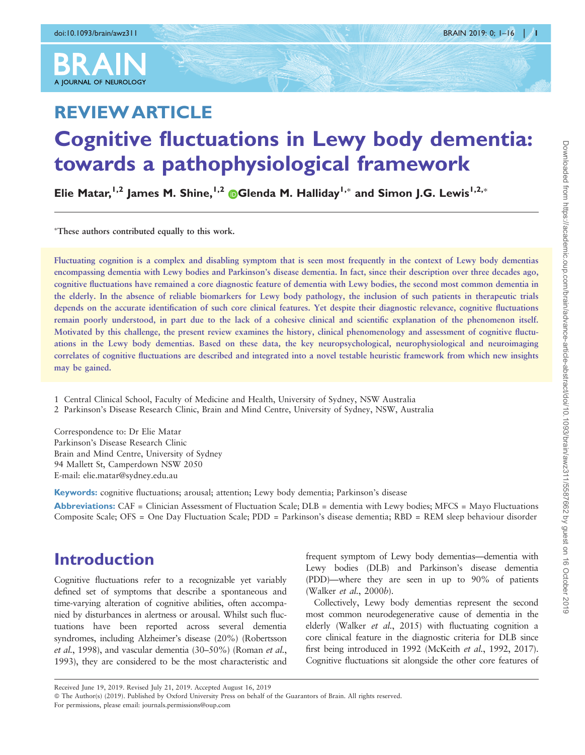

# REVIEW ARTICLE Cognitive fluctuations in Lewy body dementia: towards a pathophysiological framework

Elie Matar,<sup>1,2</sup> James M. Shine,<sup>1,2</sup> ©Glenda M. Halliday<sup>1,\*</sup> and Simon J.G. Lewis<sup>1,2,\*</sup>

- These authors contributed equally to this work.

Fluctuating cognition is a complex and disabling symptom that is seen most frequently in the context of Lewy body dementias encompassing dementia with Lewy bodies and Parkinson's disease dementia. In fact, since their description over three decades ago, cognitive fluctuations have remained a core diagnostic feature of dementia with Lewy bodies, the second most common dementia in the elderly. In the absence of reliable biomarkers for Lewy body pathology, the inclusion of such patients in therapeutic trials depends on the accurate identification of such core clinical features. Yet despite their diagnostic relevance, cognitive fluctuations remain poorly understood, in part due to the lack of a cohesive clinical and scientific explanation of the phenomenon itself. Motivated by this challenge, the present review examines the history, clinical phenomenology and assessment of cognitive fluctuations in the Lewy body dementias. Based on these data, the key neuropsychological, neurophysiological and neuroimaging correlates of cognitive fluctuations are described and integrated into a novel testable heuristic framework from which new insights may be gained.

1 Central Clinical School, Faculty of Medicine and Health, University of Sydney, NSW Australia

2 Parkinson's Disease Research Clinic, Brain and Mind Centre, University of Sydney, NSW, Australia

Correspondence to: Dr Elie Matar Parkinson's Disease Research Clinic Brain and Mind Centre, University of Sydney 94 Mallett St, Camperdown NSW 2050 E-mail: elie.matar@sydney.edu.au

Keywords: cognitive fluctuations; arousal; attention; Lewy body dementia; Parkinson's disease

Abbreviations: CAF = Clinician Assessment of Fluctuation Scale;  $DLB =$  dementia with Lewy bodies; MFCS = Mayo Fluctuations Composite Scale; OFS = One Day Fluctuation Scale; PDD = Parkinson's disease dementia; RBD = REM sleep behaviour disorder

## Introduction

Cognitive fluctuations refer to a recognizable yet variably defined set of symptoms that describe a spontaneous and time-varying alteration of cognitive abilities, often accompanied by disturbances in alertness or arousal. Whilst such fluctuations have been reported across several dementia syndromes, including Alzheimer's disease (20%) [\(Robertsson](#page-14-0) et al.[, 1998\)](#page-14-0), and vascular dementia (30–50%) [\(Roman](#page-14-0) et al., [1993\)](#page-14-0), they are considered to be the most characteristic and

frequent symptom of Lewy body dementias—dementia with Lewy bodies (DLB) and Parkinson's disease dementia (PDD)—where they are seen in up to 90% of patients [\(Walker](#page-15-0) et al., 2000b).

Collectively, Lewy body dementias represent the second most common neurodegenerative cause of dementia in the elderly ([Walker](#page-15-0) et al., 2015) with fluctuating cognition a core clinical feature in the diagnostic criteria for DLB since first being introduced in 1992 [\(McKeith](#page-14-0) et al., 1992, [2017](#page-14-0)). Cognitive fluctuations sit alongside the other core features of

Received June 19, 2019. Revised July 21, 2019. Accepted August 16, 2019

<sup>©</sup> The Author(s) (2019). Published by Oxford University Press on behalf of the Guarantors of Brain. All rights reserved. For permissions, please email: journals.permissions@oup.com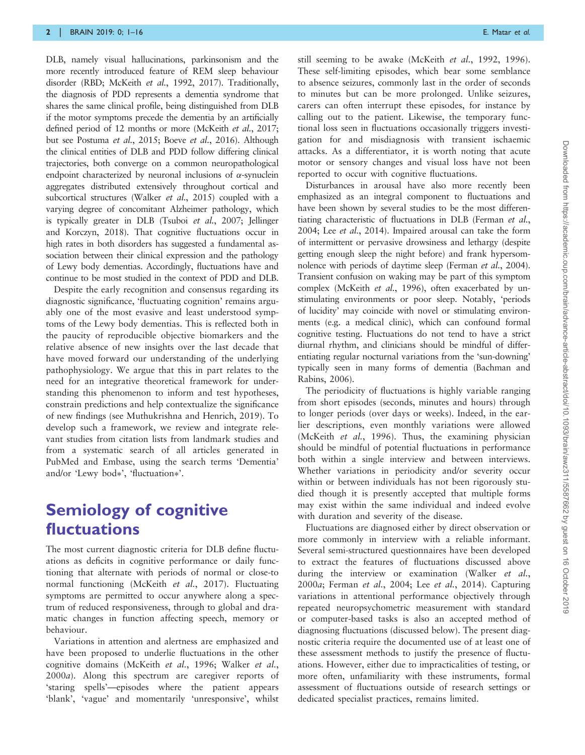DLB, namely visual hallucinations, parkinsonism and the more recently introduced feature of REM sleep behaviour disorder (RBD; [McKeith](#page-14-0) et al., 1992, [2017\)](#page-14-0). Traditionally, the diagnosis of PDD represents a dementia syndrome that shares the same clinical profile, being distinguished from DLB if the motor symptoms precede the dementia by an artificially defined period of 12 months or more ([McKeith](#page-14-0) et al., 2017; but see [Postuma](#page-14-0) et al., 2015; Boeve et al.[, 2016\)](#page-13-0). Although the clinical entities of DLB and PDD follow differing clinical trajectories, both converge on a common neuropathological endpoint characterized by neuronal inclusions of  $\alpha$ -synuclein aggregates distributed extensively throughout cortical and subcortical structures [\(Walker](#page-15-0) et al., 2015) coupled with a varying degree of concomitant Alzheimer pathology, which is typically greater in DLB (Tsuboi et al.[, 2007](#page-15-0); [Jellinger](#page-13-0) [and Korczyn, 2018\)](#page-13-0). That cognitive fluctuations occur in high rates in both disorders has suggested a fundamental association between their clinical expression and the pathology of Lewy body dementias. Accordingly, fluctuations have and continue to be most studied in the context of PDD and DLB.

Despite the early recognition and consensus regarding its diagnostic significance, 'fluctuating cognition' remains arguably one of the most evasive and least understood symptoms of the Lewy body dementias. This is reflected both in the paucity of reproducible objective biomarkers and the relative absence of new insights over the last decade that have moved forward our understanding of the underlying pathophysiology. We argue that this in part relates to the need for an integrative theoretical framework for understanding this phenomenon to inform and test hypotheses, constrain predictions and help contextualize the significance of new findings (see [Muthukrishna and Henrich, 2019\)](#page-14-0). To develop such a framework, we review and integrate relevant studies from citation lists from landmark studies and from a systematic search of all articles generated in PubMed and Embase, using the search terms 'Dementia' and/or 'Lewy bod\*', 'fluctuation\*'.

## Semiology of cognitive fluctuations

The most current diagnostic criteria for DLB define fluctuations as deficits in cognitive performance or daily functioning that alternate with periods of normal or close-to normal functioning [\(McKeith](#page-14-0) et al., 2017). Fluctuating symptoms are permitted to occur anywhere along a spectrum of reduced responsiveness, through to global and dramatic changes in function affecting speech, memory or behaviour.

Variations in attention and alertness are emphasized and have been proposed to underlie fluctuations in the other cognitive domains ([McKeith](#page-14-0) et al., 1996; [Walker](#page-15-0) et al., [2000](#page-15-0)a). Along this spectrum are caregiver reports of 'staring spells'—episodes where the patient appears 'blank', 'vague' and momentarily 'unresponsive', whilst still seeming to be awake ([McKeith](#page-14-0) et al., 1992, [1996](#page-14-0)). These self-limiting episodes, which bear some semblance to absence seizures, commonly last in the order of seconds to minutes but can be more prolonged. Unlike seizures, carers can often interrupt these episodes, for instance by calling out to the patient. Likewise, the temporary functional loss seen in fluctuations occasionally triggers investigation for and misdiagnosis with transient ischaemic attacks. As a differentiator, it is worth noting that acute motor or sensory changes and visual loss have not been reported to occur with cognitive fluctuations.

Disturbances in arousal have also more recently been emphasized as an integral component to fluctuations and have been shown by several studies to be the most differentiating characteristic of fluctuations in DLB [\(Ferman](#page-13-0) et al., [2004](#page-13-0); Lee et al.[, 2014\)](#page-14-0). Impaired arousal can take the form of intermittent or pervasive drowsiness and lethargy (despite getting enough sleep the night before) and frank hypersomnolence with periods of daytime sleep ([Ferman](#page-13-0) et al., 2004). Transient confusion on waking may be part of this symptom complex [\(McKeith](#page-14-0) et al., 1996), often exacerbated by unstimulating environments or poor sleep. Notably, 'periods of lucidity' may coincide with novel or stimulating environments (e.g. a medical clinic), which can confound formal cognitive testing. Fluctuations do not tend to have a strict diurnal rhythm, and clinicians should be mindful of differentiating regular nocturnal variations from the 'sun-downing' typically seen in many forms of dementia [\(Bachman and](#page-12-0) [Rabins, 2006\)](#page-12-0).

The periodicity of fluctuations is highly variable ranging from short episodes (seconds, minutes and hours) through to longer periods (over days or weeks). Indeed, in the earlier descriptions, even monthly variations were allowed [\(McKeith](#page-14-0) et al., 1996). Thus, the examining physician should be mindful of potential fluctuations in performance both within a single interview and between interviews. Whether variations in periodicity and/or severity occur within or between individuals has not been rigorously studied though it is presently accepted that multiple forms may exist within the same individual and indeed evolve with duration and severity of the disease.

Fluctuations are diagnosed either by direct observation or more commonly in interview with a reliable informant. Several semi-structured questionnaires have been developed to extract the features of fluctuations discussed above during the interview or examination ([Walker](#page-15-0) et al., [2000](#page-15-0)a; [Ferman](#page-13-0) et al., 2004; Lee et al.[, 2014\)](#page-14-0). Capturing variations in attentional performance objectively through repeated neuropsychometric measurement with standard or computer-based tasks is also an accepted method of diagnosing fluctuations (discussed below). The present diagnostic criteria require the documented use of at least one of these assessment methods to justify the presence of fluctuations. However, either due to impracticalities of testing, or more often, unfamiliarity with these instruments, formal assessment of fluctuations outside of research settings or dedicated specialist practices, remains limited.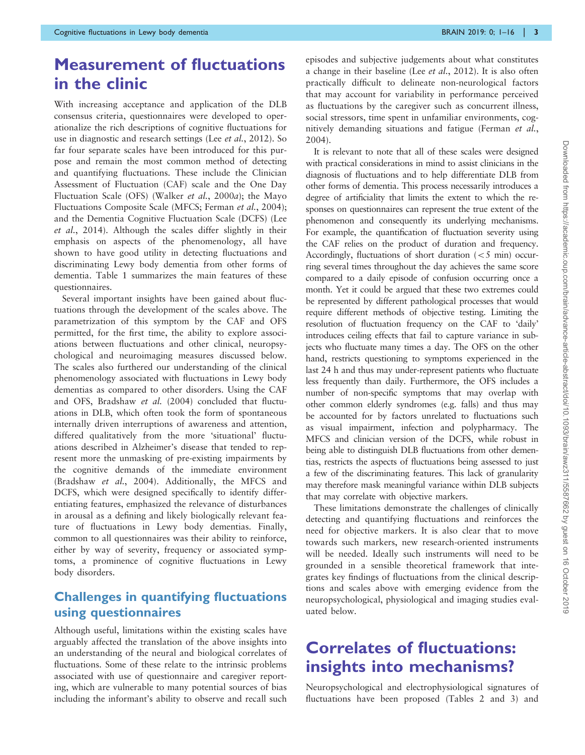## Measurement of fluctuations in the clinic

With increasing acceptance and application of the DLB consensus criteria, questionnaires were developed to operationalize the rich descriptions of cognitive fluctuations for use in diagnostic and research settings (Lee et al.[, 2012](#page-14-0)). So far four separate scales have been introduced for this purpose and remain the most common method of detecting and quantifying fluctuations. These include the Clinician Assessment of Fluctuation (CAF) scale and the One Day Fluctuation Scale (OFS) ([Walker](#page-15-0) et al., 2000a); the Mayo Fluctuations Composite Scale (MFCS; [Ferman](#page-13-0) et al., 2004); and the Dementia Cognitive Fluctuation Scale (DCFS) ([Lee](#page-14-0) et al.[, 2014\)](#page-14-0). Although the scales differ slightly in their emphasis on aspects of the phenomenology, all have shown to have good utility in detecting fluctuations and discriminating Lewy body dementia from other forms of dementia. [Table 1](#page-3-0) summarizes the main features of these questionnaires.

Several important insights have been gained about fluctuations through the development of the scales above. The parametrization of this symptom by the CAF and OFS permitted, for the first time, the ability to explore associations between fluctuations and other clinical, neuropsychological and neuroimaging measures discussed below. The scales also furthered our understanding of the clinical phenomenology associated with fluctuations in Lewy body dementias as compared to other disorders. Using the CAF and OFS, [Bradshaw](#page-13-0) et al. (2004) concluded that fluctuations in DLB, which often took the form of spontaneous internally driven interruptions of awareness and attention, differed qualitatively from the more 'situational' fluctuations described in Alzheimer's disease that tended to represent more the unmasking of pre-existing impairments by the cognitive demands of the immediate environment ([Bradshaw](#page-13-0) et al., 2004). Additionally, the MFCS and DCFS, which were designed specifically to identify differentiating features, emphasized the relevance of disturbances in arousal as a defining and likely biologically relevant feature of fluctuations in Lewy body dementias. Finally, common to all questionnaires was their ability to reinforce, either by way of severity, frequency or associated symptoms, a prominence of cognitive fluctuations in Lewy body disorders.

### Challenges in quantifying fluctuations using questionnaires

Although useful, limitations within the existing scales have arguably affected the translation of the above insights into an understanding of the neural and biological correlates of fluctuations. Some of these relate to the intrinsic problems associated with use of questionnaire and caregiver reporting, which are vulnerable to many potential sources of bias including the informant's ability to observe and recall such

episodes and subjective judgements about what constitutes a change in their baseline (Lee et al.[, 2012](#page-14-0)). It is also often practically difficult to delineate non-neurological factors that may account for variability in performance perceived as fluctuations by the caregiver such as concurrent illness, social stressors, time spent in unfamiliar environments, cognitively demanding situations and fatigue [\(Ferman](#page-13-0) et al., [2004](#page-13-0)).

It is relevant to note that all of these scales were designed with practical considerations in mind to assist clinicians in the diagnosis of fluctuations and to help differentiate DLB from other forms of dementia. This process necessarily introduces a degree of artificiality that limits the extent to which the responses on questionnaires can represent the true extent of the phenomenon and consequently its underlying mechanisms. For example, the quantification of fluctuation severity using the CAF relies on the product of duration and frequency. Accordingly, fluctuations of short duration  $(< 5$  min) occurring several times throughout the day achieves the same score compared to a daily episode of confusion occurring once a month. Yet it could be argued that these two extremes could be represented by different pathological processes that would require different methods of objective testing. Limiting the resolution of fluctuation frequency on the CAF to 'daily' introduces ceiling effects that fail to capture variance in subjects who fluctuate many times a day. The OFS on the other hand, restricts questioning to symptoms experienced in the last 24 h and thus may under-represent patients who fluctuate less frequently than daily. Furthermore, the OFS includes a number of non-specific symptoms that may overlap with other common elderly syndromes (e.g. falls) and thus may be accounted for by factors unrelated to fluctuations such as visual impairment, infection and polypharmacy. The MFCS and clinician version of the DCFS, while robust in being able to distinguish DLB fluctuations from other dementias, restricts the aspects of fluctuations being assessed to just a few of the discriminating features. This lack of granularity may therefore mask meaningful variance within DLB subjects that may correlate with objective markers.

These limitations demonstrate the challenges of clinically detecting and quantifying fluctuations and reinforces the need for objective markers. It is also clear that to move towards such markers, new research-oriented instruments will be needed. Ideally such instruments will need to be grounded in a sensible theoretical framework that integrates key findings of fluctuations from the clinical descriptions and scales above with emerging evidence from the neuropsychological, physiological and imaging studies evaluated below.

## Correlates of fluctuations: insights into mechanisms?

Neuropsychological and electrophysiological signatures of fluctuations have been proposed [\(Tables 2](#page-5-0) and [3](#page-6-0)) and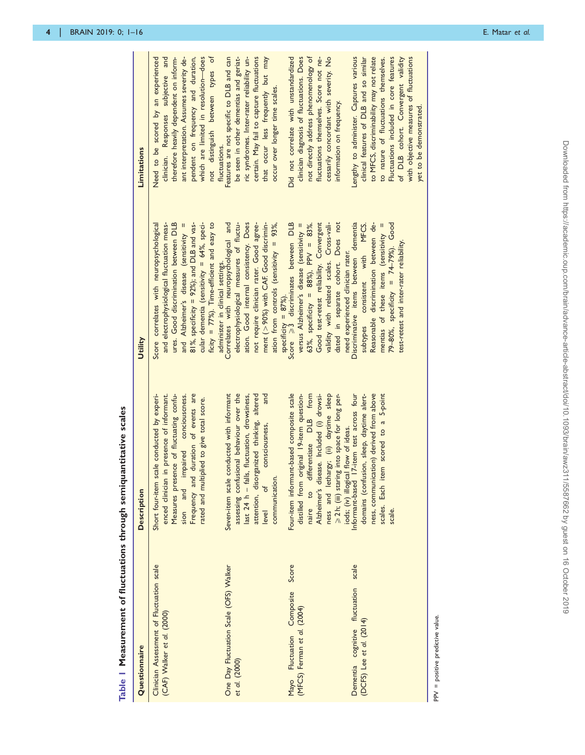<span id="page-3-0"></span>

| Questionnaire                                                           | <b>Description</b>                                                                                                                                                                                                                                                 | Utility                                                                                                                                                                                                                                                                                                                                                      | Limitations                                                                                                                                                                                                                                                                                                                   |
|-------------------------------------------------------------------------|--------------------------------------------------------------------------------------------------------------------------------------------------------------------------------------------------------------------------------------------------------------------|--------------------------------------------------------------------------------------------------------------------------------------------------------------------------------------------------------------------------------------------------------------------------------------------------------------------------------------------------------------|-------------------------------------------------------------------------------------------------------------------------------------------------------------------------------------------------------------------------------------------------------------------------------------------------------------------------------|
| Clinician Assessment of Fluctuation scale<br>(CAF) Walker et al. (2000) | duration of events are<br>enced clinician in presence of informant.<br>Short four-item scale conducted by experi-<br>Measures presence of fluctuating confu-<br>impaired conciouscness.<br>rated and multiplied to give total score.<br>Frequency and<br>sion and  | ficity = $77\%$ ). Time-efficient and easy to<br>ures. Good discrimination between DLB<br>$81\%$ , specificity = 92%); and DLB and vas-<br>cular dementia (sensitivity = 64%, speci-<br>and electrophysiological fluctuation meas-<br>Score correlates with neuropsychological<br>and Alzheimer's disease (sensitivity =<br>administer in clinical settings. | not distinguish between types of<br>Need to be scored by an experienced<br>which are limited in resolution-does<br>clinician. Responses subjective and<br>pendent on frequency and duration,<br>therefore heavily dependent on inform-<br>ant interpretation. Assumes severity de-<br>fluctuations.                           |
| One Day Fluctuation Scale (OFS) Walker<br>et al. (2000)                 | assessing confusional behaviour over the<br>Seven-item scale conducted with informant<br>attention, disorganized thinking, altered<br>and<br>last 24 h - falls, fluctuation, drowsiness,<br>consciousness,<br>communication.<br>ð<br>level                         | ment (>90%) with CAF. Good discrimin-<br>Correlates with neuropsychological and<br>ation. Good internal consistency. Does<br>ation from controls (sensitivity = 93%,<br>electrophysiological measures of fluctu-<br>not require clinician rater. Good agree-                                                                                                 | certain. May fail to capture fluctuations<br>Features are not specific to DLB and can<br>be seen in other dementias and geriat-<br>ric syndromes. Inter-rater reliability un-<br>that occur less frequently but may<br>occur over longer time scales.                                                                         |
| Score<br>Composite<br>(MFCS) Ferman et al. (2004)<br>Mayo Fluctuation   | Four-item informant-based composite scale<br>naire to differentiate DLB from<br>ness and lethargy; (ii) daytime sleep $\geq 2$ h; (iii) staring into space for long per-<br>distilled from original 19-item question-<br>Alzheimer's disease. Included (i) drowsi- | specificity = $87\%$ ).<br>Score $\geqslant$ 3 discriminates between DLB<br>dated in separate cohort. Does not<br>Good test-retest reliability. Convergent<br>validity with related scales. Cross-vali-<br>63%, specificity = 88%), PPV = 83%.<br>versus Alzheimer's disease (sensitivity =<br>need experienced clinician rater.                             | not directly address phenomenology of<br>clinician diagnosis of fluctuations. Does<br>Did not correlate with unstandardized<br>cessarily concordant with severity. No<br>fluctuations themselves. Score not ne-<br>information on frequency.                                                                                  |
| Dementia cognitive fluctuation scale<br>(DCFS) Lee et al. (2014)        | scales. Each item scored to a 5-point<br>ness, communication) derived from above<br>17-item test across four<br>domains (confusion, sleep, daytime alert-<br>iods; (iv) illogical flow of ideas.<br>Informant-based 17-item test ac<br>scale.                      | Reasonable discrimination between de-<br>Discriminative items between dementia<br>79-80%, specificity = $74-79\%$ ). Good<br>subtypes consistent with MFCS.<br>mentias of these items (sensitivity =<br>test-retest and inter-rater reliability                                                                                                              | to MFCS, discriminability may not relate<br>Lengthy to administer. Captures various<br>clinical features of DLB and so similar<br>Fluctuations included in core features<br>with objective measures of fluctuations<br>of DLB cohort. Convergent validity<br>to nature of fluctuations themselves.<br>yet to be demonstrated. |
| PPV = positive predictive value.                                        |                                                                                                                                                                                                                                                                    |                                                                                                                                                                                                                                                                                                                                                              |                                                                                                                                                                                                                                                                                                                               |

Table | Measurement of fluctuations through semiquantitative scales Table 1 Measurement of fluctuations through semiquantitative scales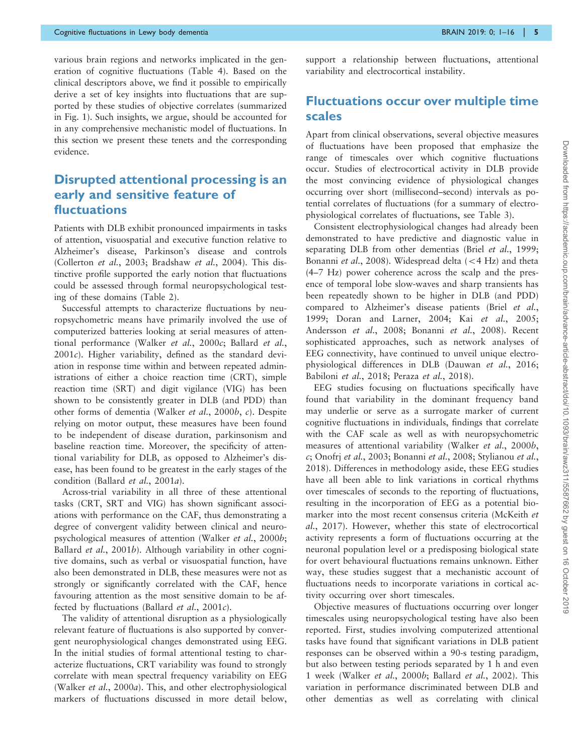various brain regions and networks implicated in the generation of cognitive fluctuations [\(Table 4\)](#page-7-0). Based on the clinical descriptors above, we find it possible to empirically derive a set of key insights into fluctuations that are supported by these studies of objective correlates (summarized in [Fig. 1](#page-8-0)). Such insights, we argue, should be accounted for in any comprehensive mechanistic model of fluctuations. In this section we present these tenets and the corresponding evidence.

### Disrupted attentional processing is an early and sensitive feature of fluctuations

Patients with DLB exhibit pronounced impairments in tasks of attention, visuospatial and executive function relative to Alzheimer's disease, Parkinson's disease and controls ([Collerton](#page-13-0) et al., 2003; [Bradshaw](#page-13-0) et al., 2004). This distinctive profile supported the early notion that fluctuations could be assessed through formal neuropsychological testing of these domains [\(Table 2](#page-5-0)).

Successful attempts to characterize fluctuations by neuropsychometric means have primarily involved the use of computerized batteries looking at serial measures of attentional performance [\(Walker](#page-15-0) et al., 2000c; [Ballard](#page-12-0) et al.,  $2001c$  $2001c$ ). Higher variability, defined as the standard deviation in response time within and between repeated administrations of either a choice reaction time (CRT), simple reaction time (SRT) and digit vigilance (VIG) has been shown to be consistently greater in DLB (and PDD) than other forms of dementia [\(Walker](#page-15-0) et al., 2000b, c). Despite relying on motor output, these measures have been found to be independent of disease duration, parkinsonism and baseline reaction time. Moreover, the specificity of attentional variability for DLB, as opposed to Alzheimer's disease, has been found to be greatest in the early stages of the condition ([Ballard](#page-12-0) et al., 2001a).

Across-trial variability in all three of these attentional tasks (CRT, SRT and VIG) has shown significant associations with performance on the CAF, thus demonstrating a degree of convergent validity between clinical and neuropsychological measures of attention [\(Walker](#page-15-0) et al., 2000b; [Ballard](#page-12-0) et al., 2001b). Although variability in other cognitive domains, such as verbal or visuospatial function, have also been demonstrated in DLB, these measures were not as strongly or significantly correlated with the CAF, hence favouring attention as the most sensitive domain to be affected by fluctuations [\(Ballard](#page-12-0) et al., 2001c).

The validity of attentional disruption as a physiologically relevant feature of fluctuations is also supported by convergent neurophysiological changes demonstrated using EEG. In the initial studies of formal attentional testing to characterize fluctuations, CRT variability was found to strongly correlate with mean spectral frequency variability on EEG ([Walker](#page-15-0) et al., 2000a). This, and other electrophysiological markers of fluctuations discussed in more detail below, support a relationship between fluctuations, attentional variability and electrocortical instability.

### Fluctuations occur over multiple time scales

Apart from clinical observations, several objective measures of fluctuations have been proposed that emphasize the range of timescales over which cognitive fluctuations occur. Studies of electrocortical activity in DLB provide the most convincing evidence of physiological changes occurring over short (millisecond–second) intervals as potential correlates of fluctuations (for a summary of electrophysiological correlates of fluctuations, see [Table 3\)](#page-6-0).

Consistent electrophysiological changes had already been demonstrated to have predictive and diagnostic value in separating DLB from other dementias (Briel et al.[, 1999;](#page-13-0) [Bonanni](#page-13-0) et al., 2008). Widespread delta  $(< 4$  Hz) and theta (4–7 Hz) power coherence across the scalp and the presence of temporal lobe slow-waves and sharp transients has been repeatedly shown to be higher in DLB (and PDD) compared to Alzheimer's disease patients (Briel [et al.](#page-13-0), [1999](#page-13-0); [Doran and Larner, 2004](#page-13-0); Kai et al.[, 2005;](#page-14-0) [Andersson](#page-12-0) et al., 2008; [Bonanni](#page-13-0) et al., 2008). Recent sophisticated approaches, such as network analyses of EEG connectivity, have continued to unveil unique electrophysiological differences in DLB [\(Dauwan](#page-13-0) et al., 2016; [Babiloni](#page-12-0) et al., 2018; Peraza et al.[, 2018](#page-14-0)).

EEG studies focusing on fluctuations specifically have found that variability in the dominant frequency band may underlie or serve as a surrogate marker of current cognitive fluctuations in individuals, findings that correlate with the CAF scale as well as with neuropsychometric measures of attentional variability [\(Walker](#page-15-0) et al., 2000b, [c](#page-15-0); [Onofrj](#page-14-0) et al., 2003; [Bonanni](#page-13-0) et al., 2008; [Stylianou](#page-15-0) et al., [2018](#page-15-0)). Differences in methodology aside, these EEG studies have all been able to link variations in cortical rhythms over timescales of seconds to the reporting of fluctuations, resulting in the incorporation of EEG as a potential biomarker into the most recent consensus criteria [\(McKeith](#page-14-0) et al.[, 2017\)](#page-14-0). However, whether this state of electrocortical activity represents a form of fluctuations occurring at the neuronal population level or a predisposing biological state for overt behavioural fluctuations remains unknown. Either way, these studies suggest that a mechanistic account of fluctuations needs to incorporate variations in cortical activity occurring over short timescales.

Objective measures of fluctuations occurring over longer timescales using neuropsychological testing have also been reported. First, studies involving computerized attentional tasks have found that significant variations in DLB patient responses can be observed within a 90-s testing paradigm, but also between testing periods separated by 1 h and even 1 week [\(Walker](#page-15-0) et al., 2000b; [Ballard](#page-12-0) et al., 2002). This variation in performance discriminated between DLB and other dementias as well as correlating with clinical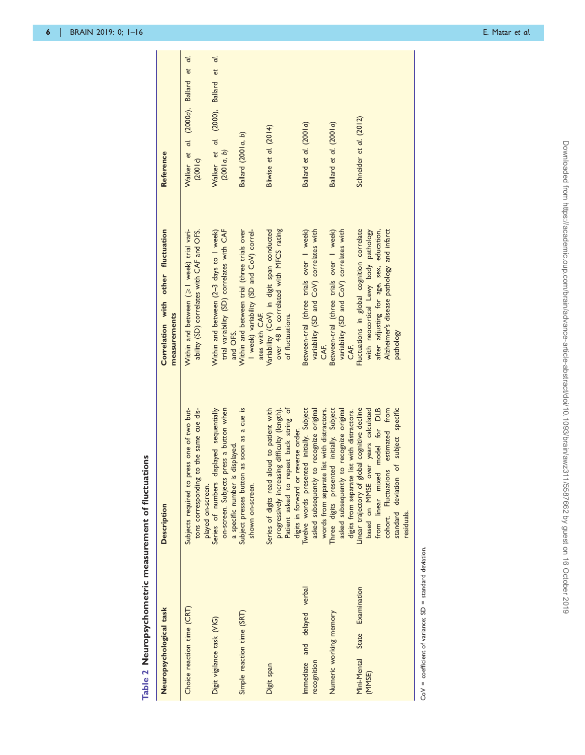<span id="page-5-0"></span>

| Table 2 Neuropsychometric measurement of fluctuations            |                                                                                                                                                                                                                              |                                                                                                                                                                                          |                                                    |
|------------------------------------------------------------------|------------------------------------------------------------------------------------------------------------------------------------------------------------------------------------------------------------------------------|------------------------------------------------------------------------------------------------------------------------------------------------------------------------------------------|----------------------------------------------------|
| Neuropsychological task                                          | <b>Description</b>                                                                                                                                                                                                           | Correlation with other fluctuation<br>measurements                                                                                                                                       | Reference                                          |
| Choice reaction time (CRT)                                       | Subjects required to press one of two but-<br>to the same cue dis-<br>tons corresponding                                                                                                                                     | Within and between (>1 week) trial vari-<br>ability (SD) correlates with CAF and OFS.                                                                                                    | Walker et al. (2000a), Ballard et al.<br>(2001c)   |
| Digit vigilance task (VIG)                                       | press a button when<br>Series of numbers displayed sequentially<br>a specific number is displayed.<br>on-screen. Subjects<br>played on-screen.                                                                               | trial variability (SD) correlates with CAF<br>Within and between (2-3 days to 1 week)<br>and OFS.                                                                                        | Walker et al. (2000), Ballard et al.<br>(2001a, b) |
| Simple reaction time (SRT)                                       | Subject presses button as soon as a cue is<br>shown on-screen.                                                                                                                                                               | I week) variability (SD and CoV) correl-<br>Within and between trial (three trials over<br>ates with CAF.                                                                                | Ballard (2001a, b)                                 |
| Digit span                                                       | Patient asked to repeat back string of<br>Series of digits read aloud to patient with<br>progressively increasing difficulty (length).<br>digits in forward or reverse order.                                                | over 48 h correlated with MFCS rating<br>Variability (CoV) in digit span conducted<br>of fluctuations.                                                                                   | Bliwise et al. (2014)                              |
| Immediate and delayed verbal<br>recognition                      | Twelve words presented initially. Subject<br>to recognize original<br>words from separate list with distractors.<br>asked subsequently                                                                                       | Between-trial (three trials over I week)<br>variability (SD and CoV) correlates with<br>ZAF.                                                                                             | Ballard et al. (2001a)                             |
| Numeric working memory                                           | Three digits presented initially. Subject<br>to recognize original<br>digits from separate list with distractors.<br>asked subsequently                                                                                      | Between-trial (three trials over I week)<br>variability (SD and CoV) correlates with<br><b>EKE</b>                                                                                       | Ballard et al. (2001a)                             |
| State Examination<br>Mini-Mental<br>(MMSE)                       | cohort. Fluctuations estimated from<br>of subject specific<br>Linear trajectory of global cognitive decline<br>based on MMSE over years calculated<br>model for DLB<br>from linear mixed<br>standard deviation<br>residuals. | Fluctuations in global cognition correlate<br>Alzheimer's disease pathology and infarct<br>with neocortical Lewy body pathology<br>after adjusting for age, sex, education,<br>pathology | Schneider et al. (2012)                            |
| $\text{CoV}$ = coefficient of variance: SD = standard deviation. |                                                                                                                                                                                                                              |                                                                                                                                                                                          |                                                    |

 $CoV = coefficient of variance; SD = standard deviation$ .  $\frac{1}{2}$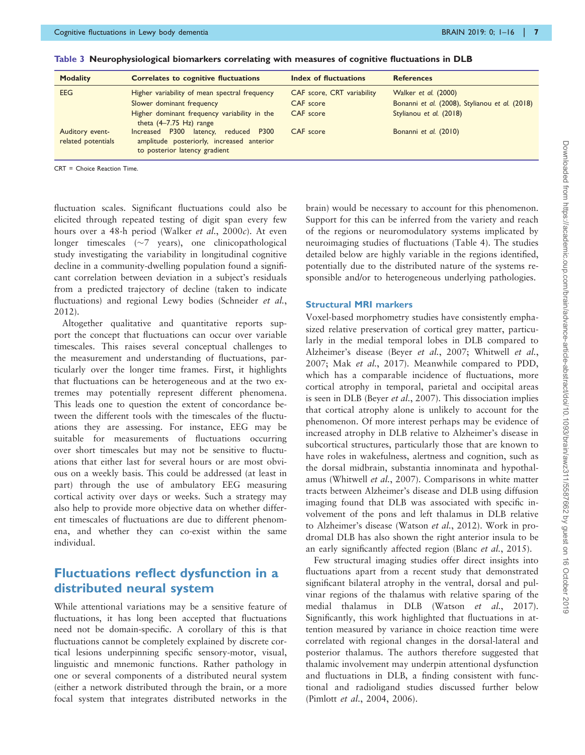| <b>Modality</b>                       | <b>Correlates to cognitive fluctuations</b>                                                                        | Index of fluctuations      | <b>References</b>                              |
|---------------------------------------|--------------------------------------------------------------------------------------------------------------------|----------------------------|------------------------------------------------|
| <b>EEG</b>                            | Higher variability of mean spectral frequency                                                                      | CAF score, CRT variability | Walker et al. (2000)                           |
|                                       | Slower dominant frequency                                                                                          | CAF score                  | Bonanni et al. (2008), Stylianou et al. (2018) |
|                                       | Higher dominant frequency variability in the<br>theta $(4-7.75$ Hz) range                                          | CAF score                  | Stylianou et al. (2018)                        |
| Auditory event-<br>related potentials | Increased P300 latency, reduced P300<br>amplitude posteriorly, increased anterior<br>to posterior latency gradient | CAF score                  | Bonanni et al. (2010)                          |

<span id="page-6-0"></span>Table 3 Neurophysiological biomarkers correlating with measures of cognitive fluctuations in DLB

CRT = Choice Reaction Time.

fluctuation scales. Significant fluctuations could also be elicited through repeated testing of digit span every few hours over a 48-h period [\(Walker](#page-15-0) et al., 2000c). At even longer timescales  $(\sim 7$  years), one clinicopathological study investigating the variability in longitudinal cognitive decline in a community-dwelling population found a significant correlation between deviation in a subject's residuals from a predicted trajectory of decline (taken to indicate fluctuations) and regional Lewy bodies ([Schneider](#page-14-0) et al., [2012\)](#page-14-0).

Altogether qualitative and quantitative reports support the concept that fluctuations can occur over variable timescales. This raises several conceptual challenges to the measurement and understanding of fluctuations, particularly over the longer time frames. First, it highlights that fluctuations can be heterogeneous and at the two extremes may potentially represent different phenomena. This leads one to question the extent of concordance between the different tools with the timescales of the fluctuations they are assessing. For instance, EEG may be suitable for measurements of fluctuations occurring over short timescales but may not be sensitive to fluctuations that either last for several hours or are most obvious on a weekly basis. This could be addressed (at least in part) through the use of ambulatory EEG measuring cortical activity over days or weeks. Such a strategy may also help to provide more objective data on whether different timescales of fluctuations are due to different phenomena, and whether they can co-exist within the same individual.

### Fluctuations reflect dysfunction in a distributed neural system

While attentional variations may be a sensitive feature of fluctuations, it has long been accepted that fluctuations need not be domain-specific. A corollary of this is that fluctuations cannot be completely explained by discrete cortical lesions underpinning specific sensory-motor, visual, linguistic and mnemonic functions. Rather pathology in one or several components of a distributed neural system (either a network distributed through the brain, or a more focal system that integrates distributed networks in the brain) would be necessary to account for this phenomenon. Support for this can be inferred from the variety and reach of the regions or neuromodulatory systems implicated by neuroimaging studies of fluctuations ([Table 4\)](#page-7-0). The studies detailed below are highly variable in the regions identified, potentially due to the distributed nature of the systems responsible and/or to heterogeneous underlying pathologies.

#### Structural MRI markers

Voxel-based morphometry studies have consistently emphasized relative preservation of cortical grey matter, particularly in the medial temporal lobes in DLB compared to Alzheimer's disease (Beyer et al.[, 2007](#page-12-0); [Whitwell](#page-15-0) et al., [2007](#page-15-0); Mak et al.[, 2017](#page-14-0)). Meanwhile compared to PDD, which has a comparable incidence of fluctuations, more cortical atrophy in temporal, parietal and occipital areas is seen in DLB (Beyer et al.[, 2007](#page-12-0)). This dissociation implies that cortical atrophy alone is unlikely to account for the phenomenon. Of more interest perhaps may be evidence of increased atrophy in DLB relative to Alzheimer's disease in subcortical structures, particularly those that are known to have roles in wakefulness, alertness and cognition, such as the dorsal midbrain, substantia innominata and hypothalamus [\(Whitwell](#page-15-0) et al., 2007). Comparisons in white matter tracts between Alzheimer's disease and DLB using diffusion imaging found that DLB was associated with specific involvement of the pons and left thalamus in DLB relative to Alzheimer's disease ([Watson](#page-15-0) et al., 2012). Work in prodromal DLB has also shown the right anterior insula to be an early significantly affected region (Blanc et al.[, 2015](#page-13-0)).

Few structural imaging studies offer direct insights into fluctuations apart from a recent study that demonstrated significant bilateral atrophy in the ventral, dorsal and pulvinar regions of the thalamus with relative sparing of the medial thalamus in DLB (Watson et al.[, 2017\)](#page-15-0). Significantly, this work highlighted that fluctuations in attention measured by variance in choice reaction time were correlated with regional changes in the dorsal-lateral and posterior thalamus. The authors therefore suggested that thalamic involvement may underpin attentional dysfunction and fluctuations in DLB, a finding consistent with functional and radioligand studies discussed further below ([Pimlott](#page-14-0) et al., 2004, [2006](#page-14-0)).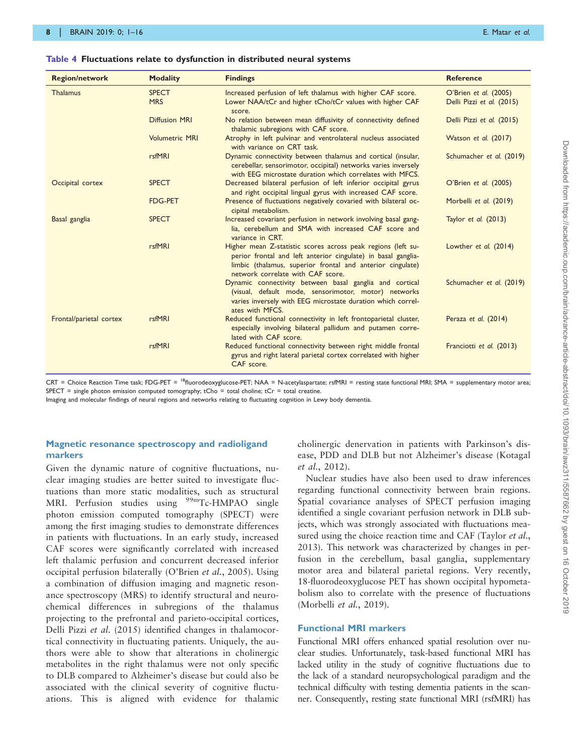#### <span id="page-7-0"></span>Table 4 Fluctuations relate to dysfunction in distributed neural systems

| <b>Region/network</b>   | <b>Modality</b>            | <b>Findings</b>                                                                                                                                                                                                                  | <b>Reference</b>                                   |
|-------------------------|----------------------------|----------------------------------------------------------------------------------------------------------------------------------------------------------------------------------------------------------------------------------|----------------------------------------------------|
| <b>Thalamus</b>         | <b>SPECT</b><br><b>MRS</b> | Increased perfusion of left thalamus with higher CAF score.<br>Lower NAA/tCr and higher tCho/tCr values with higher CAF<br>score.                                                                                                | O'Brien et al. (2005)<br>Delli Pizzi et al. (2015) |
|                         | <b>Diffusion MRI</b>       | No relation between mean diffusivity of connectivity defined<br>thalamic subregions with CAF score.                                                                                                                              | Delli Pizzi et al. (2015)                          |
|                         | <b>Volumetric MRI</b>      | Atrophy in left pulvinar and ventrolateral nucleus associated<br>with variance on CRT task.                                                                                                                                      | Watson et al. (2017)                               |
|                         | rsfMRI                     | Dynamic connectivity between thalamus and cortical (insular,<br>cerebellar, sensorimotor, occipital) networks varies inversely<br>with EEG microstate duration which correlates with MFCS.                                       | Schumacher et al. (2019)                           |
| Occipital cortex        | <b>SPECT</b>               | Decreased bilateral perfusion of left inferior occipital gyrus<br>and right occipital lingual gyrus with increased CAF score.                                                                                                    | O'Brien et al. (2005)                              |
|                         | <b>FDG-PET</b>             | Presence of fluctuations negatively covaried with bilateral oc-<br>cipital metabolism.                                                                                                                                           | Morbelli et al. (2019)                             |
| Basal ganglia           | <b>SPECT</b>               | Increased covariant perfusion in network involving basal gang-<br>lia, cerebellum and SMA with increased CAF score and<br>variance in CRT.                                                                                       | Taylor et al. (2013)                               |
|                         | rsfMRI                     | Higher mean Z-statistic scores across peak regions (left su-<br>perior frontal and left anterior cingulate) in basal ganglia-<br>limbic (thalamus, superior frontal and anterior cingulate)<br>network correlate with CAF score. | Lowther et al. (2014)                              |
|                         |                            | Dynamic connectivity between basal ganglia and cortical<br>(visual, default mode, sensorimotor, motor) networks<br>varies inversely with EEG microstate duration which correl-<br>ates with MFCS.                                | Schumacher et al. (2019)                           |
| Frontal/parietal cortex | rsfMRI                     | Reduced functional connectivity in left frontoparietal cluster,<br>especially involving bilateral pallidum and putamen corre-<br>lated with CAF score.                                                                           | Peraza et al. (2014)                               |
|                         | rsfMRI                     | Reduced functional connectivity between right middle frontal<br>gyrus and right lateral parietal cortex correlated with higher<br>CAF score.                                                                                     | Franciotti et al. (2013)                           |

CRT = Choice Reaction Time task; FDG-PET = <sup>18</sup>fluorodeoxyglucose-PET; NAA = N-acetylaspartate; rsfMRI = resting state functional MRI; SMA = supplementary motor area; SPECT = single photon emission computed tomography; tCho = total choline; tCr = total creatine.

Imaging and molecular findings of neural regions and networks relating to fluctuating cognition in Lewy body dementia.

#### Magnetic resonance spectroscopy and radioligand markers

Given the dynamic nature of cognitive fluctuations, nuclear imaging studies are better suited to investigate fluctuations than more static modalities, such as structural MRI. Perfusion studies using <sup>99m</sup>Tc-HMPAO single photon emission computed tomography (SPECT) were among the first imaging studies to demonstrate differences in patients with fluctuations. In an early study, increased CAF scores were significantly correlated with increased left thalamic perfusion and concurrent decreased inferior occipital perfusion bilaterally [\(O'Brien](#page-14-0) et al., 2005). Using a combination of diffusion imaging and magnetic resonance spectroscopy (MRS) to identify structural and neurochemical differences in subregions of the thalamus projecting to the prefrontal and parieto-occipital cortices, [Delli Pizzi](#page-13-0) et al. (2015) identified changes in thalamocortical connectivity in fluctuating patients. Uniquely, the authors were able to show that alterations in cholinergic metabolites in the right thalamus were not only specific to DLB compared to Alzheimer's disease but could also be associated with the clinical severity of cognitive fluctuations. This is aligned with evidence for thalamic cholinergic denervation in patients with Parkinson's disease, PDD and DLB but not Alzheimer's disease ([Kotagal](#page-14-0) et al.[, 2012](#page-14-0)).

Nuclear studies have also been used to draw inferences regarding functional connectivity between brain regions. Spatial covariance analyses of SPECT perfusion imaging identified a single covariant perfusion network in DLB subjects, which was strongly associated with fluctuations mea-sured using the choice reaction time and CAF ([Taylor](#page-15-0) *et al.*, [2013\)](#page-15-0). This network was characterized by changes in perfusion in the cerebellum, basal ganglia, supplementary motor area and bilateral parietal regions. Very recently, 18-fluorodeoxyglucose PET has shown occipital hypometabolism also to correlate with the presence of fluctuations [\(Morbelli](#page-14-0) et al., 2019).

#### Functional MRI markers

Functional MRI offers enhanced spatial resolution over nuclear studies. Unfortunately, task-based functional MRI has lacked utility in the study of cognitive fluctuations due to the lack of a standard neuropsychological paradigm and the technical difficulty with testing dementia patients in the scanner. Consequently, resting state functional MRI (rsfMRI) has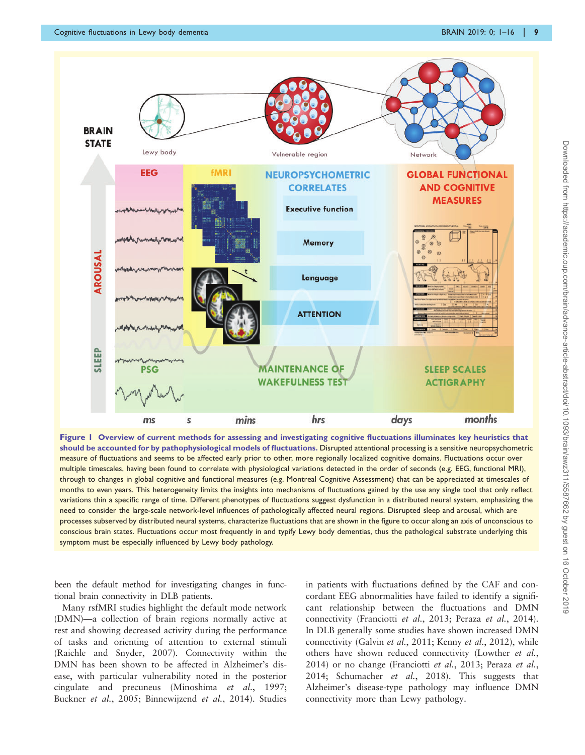<span id="page-8-0"></span>

Figure 1 Overview of current methods for assessing and investigating cognitive fluctuations illuminates key heuristics that should be accounted for by pathophysiological models of fluctuations. Disrupted attentional processing is a sensitive neuropsychometric measure of fluctuations and seems to be affected early prior to other, more regionally localized cognitive domains. Fluctuations occur over multiple timescales, having been found to correlate with physiological variations detected in the order of seconds (e.g. EEG, functional MRI), through to changes in global cognitive and functional measures (e.g. Montreal Cognitive Assessment) that can be appreciated at timescales of months to even years. This heterogeneity limits the insights into mechanisms of fluctuations gained by the use any single tool that only reflect variations thin a specific range of time. Different phenotypes of fluctuations suggest dysfunction in a distributed neural system, emphasizing the need to consider the large-scale network-level influences of pathologically affected neural regions. Disrupted sleep and arousal, which are processes subserved by distributed neural systems, characterize fluctuations that are shown in the figure to occur along an axis of unconscious to conscious brain states. Fluctuations occur most frequently in and typify Lewy body dementias, thus the pathological substrate underlying this symptom must be especially influenced by Lewy body pathology.

been the default method for investigating changes in functional brain connectivity in DLB patients.

Many rsfMRI studies highlight the default mode network (DMN)—a collection of brain regions normally active at rest and showing decreased activity during the performance of tasks and orienting of attention to external stimuli ([Raichle and Snyder, 2007\)](#page-14-0). Connectivity within the DMN has been shown to be affected in Alzheimer's disease, with particular vulnerability noted in the posterior cingulate and precuneus ([Minoshima](#page-14-0) et al., 1997; [Buckner](#page-13-0) et al., 2005; [Binnewijzend](#page-13-0) et al., 2014). Studies in patients with fluctuations defined by the CAF and concordant EEG abnormalities have failed to identify a significant relationship between the fluctuations and DMN connectivity ([Franciotti](#page-13-0) et al., 2013; Peraza et al.[, 2014\)](#page-14-0). In DLB generally some studies have shown increased DMN connectivity ([Galvin](#page-13-0) et al., 2011; Kenny et al.[, 2012](#page-14-0)), while others have shown reduced connectivity [\(Lowther](#page-14-0) et al., [2014](#page-14-0)) or no change [\(Franciotti](#page-13-0) et al., 2013; [Peraza](#page-14-0) et al., [2014](#page-14-0); [Schumacher](#page-14-0) et al., 2018). This suggests that Alzheimer's disease-type pathology may influence DMN connectivity more than Lewy pathology.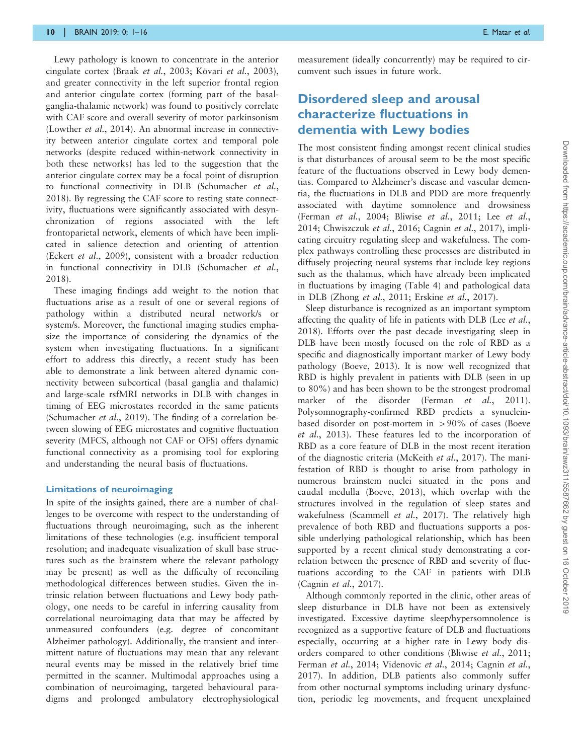Lewy pathology is known to concentrate in the anterior cingulate cortex (Braak et al.[, 2003;](#page-13-0) Kövari et al.[, 2003\)](#page-14-0), and greater connectivity in the left superior frontal region and anterior cingulate cortex (forming part of the basalganglia-thalamic network) was found to positively correlate with CAF score and overall severity of motor parkinsonism [\(Lowther](#page-14-0) et al., 2014). An abnormal increase in connectivity between anterior cingulate cortex and temporal pole networks (despite reduced within-network connectivity in both these networks) has led to the suggestion that the anterior cingulate cortex may be a focal point of disruption to functional connectivity in DLB ([Schumacher](#page-14-0) et al., [2018](#page-14-0)). By regressing the CAF score to resting state connectivity, fluctuations were significantly associated with desynchronization of regions associated with the left frontoparietal network, elements of which have been implicated in salience detection and orienting of attention (Eckert et al.[, 2009](#page-13-0)), consistent with a broader reduction in functional connectivity in DLB ([Schumacher](#page-14-0) et al., [2018](#page-14-0)).

These imaging findings add weight to the notion that fluctuations arise as a result of one or several regions of pathology within a distributed neural network/s or system/s. Moreover, the functional imaging studies emphasize the importance of considering the dynamics of the system when investigating fluctuations. In a significant effort to address this directly, a recent study has been able to demonstrate a link between altered dynamic connectivity between subcortical (basal ganglia and thalamic) and large-scale rsfMRI networks in DLB with changes in timing of EEG microstates recorded in the same patients [\(Schumacher](#page-15-0) et al., 2019). The finding of a correlation between slowing of EEG microstates and cognitive fluctuation severity (MFCS, although not CAF or OFS) offers dynamic functional connectivity as a promising tool for exploring and understanding the neural basis of fluctuations.

#### Limitations of neuroimaging

In spite of the insights gained, there are a number of challenges to be overcome with respect to the understanding of fluctuations through neuroimaging, such as the inherent limitations of these technologies (e.g. insufficient temporal resolution; and inadequate visualization of skull base structures such as the brainstem where the relevant pathology may be present) as well as the difficulty of reconciling methodological differences between studies. Given the intrinsic relation between fluctuations and Lewy body pathology, one needs to be careful in inferring causality from correlational neuroimaging data that may be affected by unmeasured confounders (e.g. degree of concomitant Alzheimer pathology). Additionally, the transient and intermittent nature of fluctuations may mean that any relevant neural events may be missed in the relatively brief time permitted in the scanner. Multimodal approaches using a combination of neuroimaging, targeted behavioural paradigms and prolonged ambulatory electrophysiological

measurement (ideally concurrently) may be required to circumvent such issues in future work.

### Disordered sleep and arousal characterize fluctuations in dementia with Lewy bodies

The most consistent finding amongst recent clinical studies is that disturbances of arousal seem to be the most specific feature of the fluctuations observed in Lewy body dementias. Compared to Alzheimer's disease and vascular dementia, the fluctuations in DLB and PDD are more frequently associated with daytime somnolence and drowsiness [\(Ferman](#page-13-0) et al., 2004; Bliwise et al.[, 2011](#page-13-0); Lee [et al.](#page-14-0), [2014;](#page-14-0) [Chwiszczuk](#page-13-0) et al., 2016; [Cagnin](#page-13-0) et al., 2017), implicating circuitry regulating sleep and wakefulness. The complex pathways controlling these processes are distributed in diffusely projecting neural systems that include key regions such as the thalamus, which have already been implicated in fluctuations by imaging [\(Table 4\)](#page-7-0) and pathological data in DLB [\(Zhong](#page-15-0) et al., 2011; [Erskine](#page-13-0) et al., 2017).

Sleep disturbance is recognized as an important symptom affecting the quality of life in patients with DLB (Lee *[et al.](#page-14-0)*, [2018\)](#page-14-0). Efforts over the past decade investigating sleep in DLB have been mostly focused on the role of RBD as a specific and diagnostically important marker of Lewy body pathology ([Boeve, 2013\)](#page-13-0). It is now well recognized that RBD is highly prevalent in patients with DLB (seen in up to 80%) and has been shown to be the strongest prodromal marker of the disorder (Ferman et al.[, 2011](#page-13-0)). Polysomnography-confirmed RBD predicts a synucleinbased disorder on post-mortem in  $>90\%$  of cases [\(Boeve](#page-13-0) et al.[, 2013\)](#page-13-0). These features led to the incorporation of RBD as a core feature of DLB in the most recent iteration of the diagnostic criteria ([McKeith](#page-14-0) et al., 2017). The manifestation of RBD is thought to arise from pathology in numerous brainstem nuclei situated in the pons and caudal medulla [\(Boeve, 2013](#page-13-0)), which overlap with the structures involved in the regulation of sleep states and wakefulness [\(Scammell](#page-14-0) et al., 2017). The relatively high prevalence of both RBD and fluctuations supports a possible underlying pathological relationship, which has been supported by a recent clinical study demonstrating a correlation between the presence of RBD and severity of fluctuations according to the CAF in patients with DLB [\(Cagnin](#page-13-0) et al., 2017).

Although commonly reported in the clinic, other areas of sleep disturbance in DLB have not been as extensively investigated. Excessive daytime sleep/hypersomnolence is recognized as a supportive feature of DLB and fluctuations especially, occurring at a higher rate in Lewy body disorders compared to other conditions [\(Bliwise](#page-13-0) et al., 2011; [Ferman](#page-13-0) et al., 2014; [Videnovic](#page-15-0) et al., 2014; [Cagnin](#page-13-0) et al., [2017\)](#page-13-0). In addition, DLB patients also commonly suffer from other nocturnal symptoms including urinary dysfunction, periodic leg movements, and frequent unexplained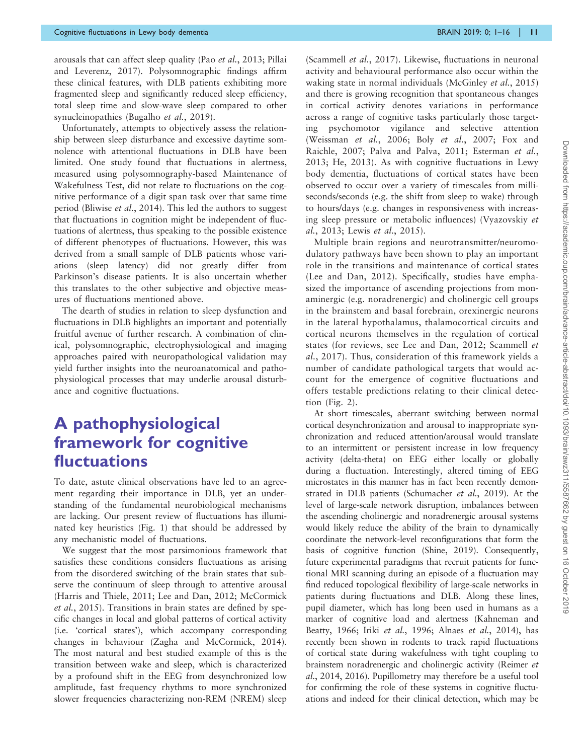arousals that can affect sleep quality (Pao et al.[, 2013; Pillai](#page-14-0) [and Leverenz, 2017](#page-14-0)). Polysomnographic findings affirm these clinical features, with DLB patients exhibiting more fragmented sleep and significantly reduced sleep efficiency, total sleep time and slow-wave sleep compared to other synucleinopathies ([Bugalho](#page-13-0) et al., 2019).

Unfortunately, attempts to objectively assess the relationship between sleep disturbance and excessive daytime somnolence with attentional fluctuations in DLB have been limited. One study found that fluctuations in alertness, measured using polysomnography-based Maintenance of Wakefulness Test, did not relate to fluctuations on the cognitive performance of a digit span task over that same time period ([Bliwise](#page-13-0) *et al.*, 2014). This led the authors to suggest that fluctuations in cognition might be independent of fluctuations of alertness, thus speaking to the possible existence of different phenotypes of fluctuations. However, this was derived from a small sample of DLB patients whose variations (sleep latency) did not greatly differ from Parkinson's disease patients. It is also uncertain whether this translates to the other subjective and objective measures of fluctuations mentioned above.

The dearth of studies in relation to sleep dysfunction and fluctuations in DLB highlights an important and potentially fruitful avenue of further research. A combination of clinical, polysomnographic, electrophysiological and imaging approaches paired with neuropathological validation may yield further insights into the neuroanatomical and pathophysiological processes that may underlie arousal disturbance and cognitive fluctuations.

## A pathophysiological framework for cognitive fluctuations

To date, astute clinical observations have led to an agreement regarding their importance in DLB, yet an understanding of the fundamental neurobiological mechanisms are lacking. Our present review of fluctuations has illuminated key heuristics ([Fig. 1\)](#page-8-0) that should be addressed by any mechanistic model of fluctuations.

We suggest that the most parsimonious framework that satisfies these conditions considers fluctuations as arising from the disordered switching of the brain states that subserve the continuum of sleep through to attentive arousal ([Harris and Thiele, 2011;](#page-13-0) [Lee and Dan, 2012; McCormick](#page-14-0) et al.[, 2015\)](#page-14-0). Transitions in brain states are defined by specific changes in local and global patterns of cortical activity (i.e. 'cortical states'), which accompany corresponding changes in behaviour ([Zagha and McCormick, 2014](#page-15-0)). The most natural and best studied example of this is the transition between wake and sleep, which is characterized by a profound shift in the EEG from desynchronized low amplitude, fast frequency rhythms to more synchronized slower frequencies characterizing non-REM (NREM) sleep ([Scammell](#page-14-0) et al., 2017). Likewise, fluctuations in neuronal activity and behavioural performance also occur within the waking state in normal individuals [\(McGinley](#page-14-0) *et al.*, 2015) and there is growing recognition that spontaneous changes in cortical activity denotes variations in performance across a range of cognitive tasks particularly those targeting psychomotor vigilance and selective attention ([Weissman](#page-15-0) et al., 2006; Boly et al.[, 2007; Fox and](#page-13-0) [Raichle, 2007](#page-13-0); [Palva and Palva, 2011;](#page-14-0) [Esterman](#page-13-0) et al., [2013; He, 2013\)](#page-13-0). As with cognitive fluctuations in Lewy body dementia, fluctuations of cortical states have been observed to occur over a variety of timescales from milliseconds/seconds (e.g. the shift from sleep to wake) through to hours/days (e.g. changes in responsiveness with increasing sleep pressure or metabolic influences) [\(Vyazovskiy](#page-15-0) et al.[, 2013](#page-15-0); Lewis et al.[, 2015](#page-14-0)).

Multiple brain regions and neurotransmitter/neuromodulatory pathways have been shown to play an important role in the transitions and maintenance of cortical states ([Lee and Dan, 2012\)](#page-14-0). Specifically, studies have emphasized the importance of ascending projections from monaminergic (e.g. noradrenergic) and cholinergic cell groups in the brainstem and basal forebrain, orexinergic neurons in the lateral hypothalamus, thalamocortical circuits and cortical neurons themselves in the regulation of cortical states (for reviews, see [Lee and Dan, 2012; Scammell](#page-14-0) et al.[, 2017](#page-14-0)). Thus, consideration of this framework yields a number of candidate pathological targets that would account for the emergence of cognitive fluctuations and offers testable predictions relating to their clinical detection [\(Fig. 2](#page-11-0)).

At short timescales, aberrant switching between normal cortical desynchronization and arousal to inappropriate synchronization and reduced attention/arousal would translate to an intermittent or persistent increase in low frequency activity (delta-theta) on EEG either locally or globally during a fluctuation. Interestingly, altered timing of EEG microstates in this manner has in fact been recently demonstrated in DLB patients [\(Schumacher](#page-15-0) et al., 2019). At the level of large-scale network disruption, imbalances between the ascending cholinergic and noradrenergic arousal systems would likely reduce the ability of the brain to dynamically coordinate the network-level reconfigurations that form the basis of cognitive function [\(Shine, 2019](#page-15-0)). Consequently, future experimental paradigms that recruit patients for functional MRI scanning during an episode of a fluctuation may find reduced topological flexibility of large-scale networks in patients during fluctuations and DLB. Along these lines, pupil diameter, which has long been used in humans as a marker of cognitive load and alertness [\(Kahneman and](#page-14-0) [Beatty, 1966](#page-14-0); Iriki et al.[, 1996](#page-13-0); Alnaes et al.[, 2014\)](#page-12-0), has recently been shown in rodents to track rapid fluctuations of cortical state during wakefulness with tight coupling to brainstem noradrenergic and cholinergic activity ([Reimer](#page-14-0) et al.[, 2014](#page-14-0), [2016](#page-14-0)). Pupillometry may therefore be a useful tool for confirming the role of these systems in cognitive fluctuations and indeed for their clinical detection, which may be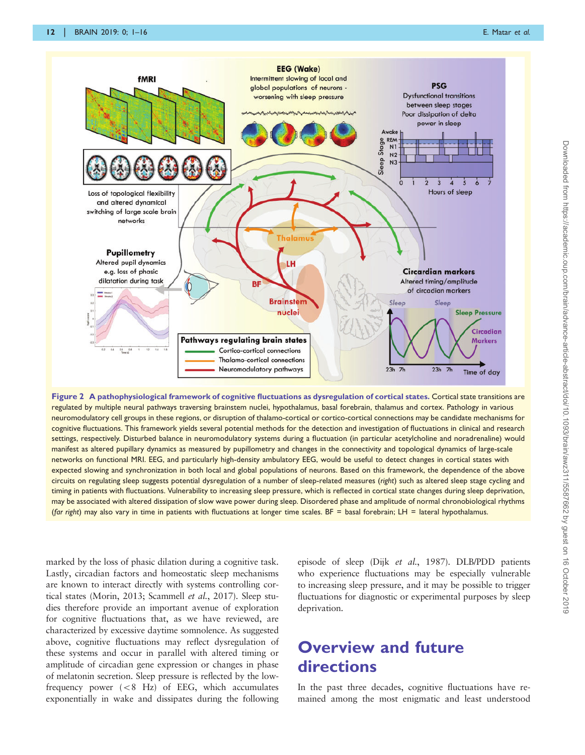<span id="page-11-0"></span>

Figure 2 A pathophysiological framework of cognitive fluctuations as dysregulation of cortical states. Cortical state transitions are regulated by multiple neural pathways traversing brainstem nuclei, hypothalamus, basal forebrain, thalamus and cortex. Pathology in various neuromodulatory cell groups in these regions, or disruption of thalamo-cortical or cortico-cortical connections may be candidate mechanisms for cognitive fluctuations. This framework yields several potential methods for the detection and investigation of fluctuations in clinical and research settings, respectively. Disturbed balance in neuromodulatory systems during a fluctuation (in particular acetylcholine and noradrenaline) would manifest as altered pupillary dynamics as measured by pupillometry and changes in the connectivity and topological dynamics of large-scale networks on functional MRI. EEG, and particularly high-density ambulatory EEG, would be useful to detect changes in cortical states with expected slowing and synchronization in both local and global populations of neurons. Based on this framework, the dependence of the above circuits on regulating sleep suggests potential dysregulation of a number of sleep-related measures (right) such as altered sleep stage cycling and timing in patients with fluctuations. Vulnerability to increasing sleep pressure, which is reflected in cortical state changes during sleep deprivation, may be associated with altered dissipation of slow wave power during sleep. Disordered phase and amplitude of normal chronobiological rhythms (far right) may also vary in time in patients with fluctuations at longer time scales. BF = basal forebrain; LH = lateral hypothalamus.

marked by the loss of phasic dilation during a cognitive task. Lastly, circadian factors and homeostatic sleep mechanisms are known to interact directly with systems controlling cortical states [\(Morin, 2013](#page-14-0); [Scammell](#page-14-0) et al., 2017). Sleep studies therefore provide an important avenue of exploration for cognitive fluctuations that, as we have reviewed, are characterized by excessive daytime somnolence. As suggested above, cognitive fluctuations may reflect dysregulation of these systems and occur in parallel with altered timing or amplitude of circadian gene expression or changes in phase of melatonin secretion. Sleep pressure is reflected by the lowfrequency power  $(< 8$  Hz) of EEG, which accumulates exponentially in wake and dissipates during the following

episode of sleep (Dijk et al.[, 1987\)](#page-13-0). DLB/PDD patients who experience fluctuations may be especially vulnerable to increasing sleep pressure, and it may be possible to trigger fluctuations for diagnostic or experimental purposes by sleep deprivation.

## Overview and future directions

In the past three decades, cognitive fluctuations have remained among the most enigmatic and least understood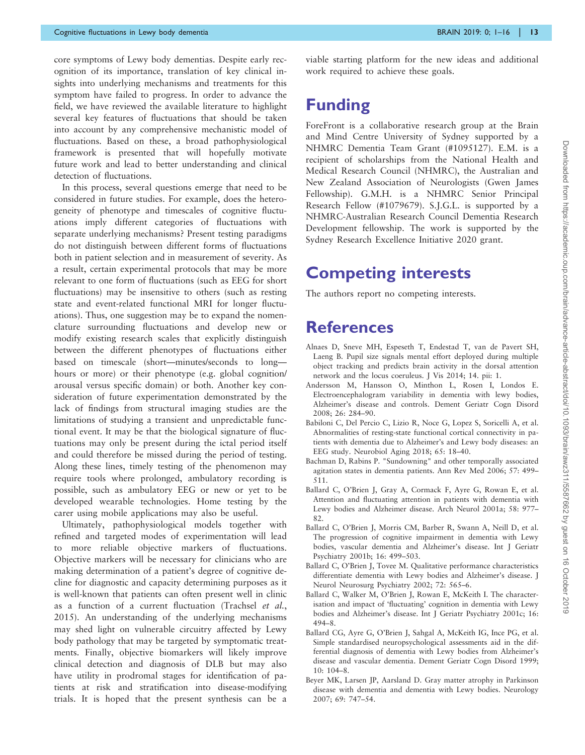<span id="page-12-0"></span>core symptoms of Lewy body dementias. Despite early recognition of its importance, translation of key clinical insights into underlying mechanisms and treatments for this symptom have failed to progress. In order to advance the field, we have reviewed the available literature to highlight several key features of fluctuations that should be taken into account by any comprehensive mechanistic model of fluctuations. Based on these, a broad pathophysiological framework is presented that will hopefully motivate future work and lead to better understanding and clinical detection of fluctuations.

In this process, several questions emerge that need to be considered in future studies. For example, does the heterogeneity of phenotype and timescales of cognitive fluctuations imply different categories of fluctuations with separate underlying mechanisms? Present testing paradigms do not distinguish between different forms of fluctuations both in patient selection and in measurement of severity. As a result, certain experimental protocols that may be more relevant to one form of fluctuations (such as EEG for short fluctuations) may be insensitive to others (such as resting state and event-related functional MRI for longer fluctuations). Thus, one suggestion may be to expand the nomenclature surrounding fluctuations and develop new or modify existing research scales that explicitly distinguish between the different phenotypes of fluctuations either based on timescale (short—minutes/seconds to long hours or more) or their phenotype (e.g. global cognition/ arousal versus specific domain) or both. Another key consideration of future experimentation demonstrated by the lack of findings from structural imaging studies are the limitations of studying a transient and unpredictable functional event. It may be that the biological signature of fluctuations may only be present during the ictal period itself and could therefore be missed during the period of testing. Along these lines, timely testing of the phenomenon may require tools where prolonged, ambulatory recording is possible, such as ambulatory EEG or new or yet to be developed wearable technologies. Home testing by the carer using mobile applications may also be useful.

Ultimately, pathophysiological models together with refined and targeted modes of experimentation will lead to more reliable objective markers of fluctuations. Objective markers will be necessary for clinicians who are making determination of a patient's degree of cognitive decline for diagnostic and capacity determining purposes as it is well-known that patients can often present well in clinic as a function of a current fluctuation ([Trachsel](#page-15-0) et al., [2015\)](#page-15-0). An understanding of the underlying mechanisms may shed light on vulnerable circuitry affected by Lewy body pathology that may be targeted by symptomatic treatments. Finally, objective biomarkers will likely improve clinical detection and diagnosis of DLB but may also have utility in prodromal stages for identification of patients at risk and stratification into disease-modifying trials. It is hoped that the present synthesis can be a

viable starting platform for the new ideas and additional work required to achieve these goals.

### Funding

ForeFront is a collaborative research group at the Brain and Mind Centre University of Sydney supported by a NHMRC Dementia Team Grant (#1095127). E.M. is a recipient of scholarships from the National Health and Medical Research Council (NHMRC), the Australian and New Zealand Association of Neurologists (Gwen James Fellowship). G.M.H. is a NHMRC Senior Principal Research Fellow (#1079679). S.J.G.L. is supported by a NHMRC-Australian Research Council Dementia Research Development fellowship. The work is supported by the Sydney Research Excellence Initiative 2020 grant.

### Competing interests

The authors report no competing interests.

### References

- Alnaes D, Sneve MH, Espeseth T, Endestad T, van de Pavert SH, Laeng B. Pupil size signals mental effort deployed during multiple object tracking and predicts brain activity in the dorsal attention network and the locus coeruleus. J Vis 2014; 14. pii: 1.
- Andersson M, Hansson O, Minthon L, Rosen I, Londos E. Electroencephalogram variability in dementia with lewy bodies, Alzheimer's disease and controls. Dement Geriatr Cogn Disord 2008; 26: 284–90.
- Babiloni C, Del Percio C, Lizio R, Noce G, Lopez S, Soricelli A, et al. Abnormalities of resting-state functional cortical connectivity in patients with dementia due to Alzheimer's and Lewy body diseases: an EEG study. Neurobiol Aging 2018; 65: 18–40.
- Bachman D, Rabins P. "Sundowning" and other temporally associated agitation states in dementia patients. Ann Rev Med 2006; 57: 499– 511.
- Ballard C, O'Brien J, Gray A, Cormack F, Ayre G, Rowan E, et al. Attention and fluctuating attention in patients with dementia with Lewy bodies and Alzheimer disease. Arch Neurol 2001a; 58: 977– 82.
- Ballard C, O'Brien J, Morris CM, Barber R, Swann A, Neill D, et al. The progression of cognitive impairment in dementia with Lewy bodies, vascular dementia and Alzheimer's disease. Int J Geriatr Psychiatry 2001b; 16: 499–503.
- Ballard C, O'Brien J, Tovee M. Qualitative performance characteristics differentiate dementia with Lewy bodies and Alzheimer's disease. J Neurol Neurosurg Psychiatry 2002; 72: 565–6.
- Ballard C, Walker M, O'Brien J, Rowan E, McKeith I. The characterisation and impact of 'fluctuating' cognition in dementia with Lewy bodies and Alzheimer's disease. Int J Geriatr Psychiatry 2001c; 16: 494–8.
- Ballard CG, Ayre G, O'Brien J, Sahgal A, McKeith IG, Ince PG, et al. Simple standardised neuropsychological assessments aid in the differential diagnosis of dementia with Lewy bodies from Alzheimer's disease and vascular dementia. Dement Geriatr Cogn Disord 1999;  $10: 104-8.$
- Beyer MK, Larsen JP, Aarsland D. Gray matter atrophy in Parkinson disease with dementia and dementia with Lewy bodies. Neurology 2007; 69: 747–54.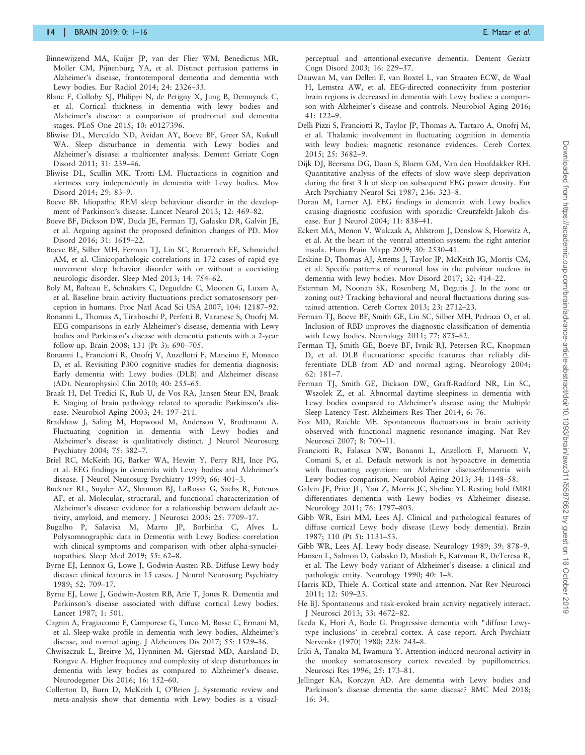- <span id="page-13-0"></span>Binnewijzend MA, Kuijer JP, van der Flier WM, Benedictus MR, Moller CM, Pijnenburg YA, et al. Distinct perfusion patterns in Alzheimer's disease, frontotemporal dementia and dementia with Lewy bodies. Eur Radiol 2014; 24: 2326–33.
- Blanc F, Colloby SJ, Philippi N, de Petigny X, Jung B, Demuynck C, et al. Cortical thickness in dementia with lewy bodies and Alzheimer's disease: a comparison of prodromal and dementia stages. PLoS One 2015; 10: e0127396.
- Bliwise DL, Mercaldo ND, Avidan AY, Boeve BF, Greer SA, Kukull WA. Sleep disturbance in dementia with Lewy bodies and Alzheimer's disease: a multicenter analysis. Dement Geriatr Cogn Disord 2011; 31: 239–46.
- Bliwise DL, Scullin MK, Trotti LM. Fluctuations in cognition and alertness vary independently in dementia with Lewy bodies. Mov Disord 2014; 29: 83–9.
- Boeve BF. Idiopathic REM sleep behaviour disorder in the development of Parkinson's disease. Lancet Neurol 2013; 12: 469–82.
- Boeve BF, Dickson DW, Duda JE, Ferman TJ, Galasko DR, Galvin JE, et al. Arguing against the proposed definition changes of PD. Mov Disord 2016; 31: 1619–22.
- Boeve BF, Silber MH, Ferman TJ, Lin SC, Benarroch EE, Schmeichel AM, et al. Clinicopathologic correlations in 172 cases of rapid eye movement sleep behavior disorder with or without a coexisting neurologic disorder. Sleep Med 2013; 14: 754–62.
- Boly M, Balteau E, Schnakers C, Degueldre C, Moonen G, Luxen A, et al. Baseline brain activity fluctuations predict somatosensory perception in humans. Proc Natl Acad Sci USA 2007; 104: 12187–92.
- Bonanni L, Thomas A, Tiraboschi P, Perfetti B, Varanese S, Onofrj M. EEG comparisons in early Alzheimer's disease, dementia with Lewy bodies and Parkinson's disease with dementia patients with a 2-year follow-up. Brain 2008; 131 (Pt 3): 690–705.
- Bonanni L, Franciotti R, Onofrj V, Anzellotti F, Mancino E, Monaco D, et al. Revisiting P300 cognitive studies for dementia diagnosis: Early dementia with Lewy bodies (DLB) and Alzheimer disease (AD). Neurophysiol Clin 2010; 40: 255–65.
- Braak H, Del Tredici K, Rub U, de Vos RA, Jansen Steur EN, Braak E. Staging of brain pathology related to sporadic Parkinson's disease. Neurobiol Aging 2003; 24: 197–211.
- Bradshaw J, Saling M, Hopwood M, Anderson V, Brodtmann A. Fluctuating cognition in dementia with Lewy bodies and Alzheimer's disease is qualitatively distinct. J Neurol Neurosurg Psychiatry 2004; 75: 382–7.
- Briel RC, McKeith IG, Barker WA, Hewitt Y, Perry RH, Ince PG, et al. EEG findings in dementia with Lewy bodies and Alzheimer's disease. J Neurol Neurosurg Psychiatry 1999; 66: 401–3.
- Buckner RL, Snyder AZ, Shannon BJ, LaRossa G, Sachs R, Fotenos AF, et al. Molecular, structural, and functional characterization of Alzheimer's disease: evidence for a relationship between default activity, amyloid, and memory. J Neurosci 2005; 25: 7709–17.
- Bugalho P, Salavisa M, Marto JP, Borbinha C, Alves L. Polysomnographic data in Dementia with Lewy Bodies: correlation with clinical symptoms and comparison with other alpha-synucleinopathies. Sleep Med 2019; 55: 62–8.
- Byrne EJ, Lennox G, Lowe J, Godwin-Austen RB. Diffuse Lewy body disease: clinical features in 15 cases. J Neurol Neurosurg Psychiatry 1989; 52: 709–17.
- Byrne EJ, Lowe J, Godwin-Austen RB, Arie T, Jones R. Dementia and Parkinson's disease associated with diffuse cortical Lewy bodies. Lancet 1987; 1: 501.
- Cagnin A, Fragiacomo F, Camporese G, Turco M, Busse C, Ermani M, et al. Sleep-wake profile in dementia with lewy bodies, Alzheimer's disease, and normal aging. J Alzheimers Dis 2017; 55: 1529–36.
- Chwiszczuk L, Breitve M, Hynninen M, Gjerstad MD, Aarsland D, Rongve A. Higher frequency and complexity of sleep disturbances in dementia with lewy bodies as compared to Alzheimer's disease. Neurodegener Dis 2016; 16: 152–60.
- Collerton D, Burn D, McKeith I, O'Brien J. Systematic review and meta-analysis show that dementia with Lewy bodies is a visual-

perceptual and attentional-executive dementia. Dement Geriatr Cogn Disord 2003; 16: 229–37.

- Dauwan M, van Dellen E, van Boxtel L, van Straaten ECW, de Waal H, Lemstra AW, et al. EEG-directed connectivity from posterior brain regions is decreased in dementia with Lewy bodies: a comparison with Alzheimer's disease and controls. Neurobiol Aging 2016; 41: 122–9.
- Delli Pizzi S, Franciotti R, Taylor JP, Thomas A, Tartaro A, Onofrj M, et al. Thalamic involvement in fluctuating cognition in dementia with lewy bodies: magnetic resonance evidences. Cereb Cortex 2015; 25: 3682–9.
- Dijk DJ, Beersma DG, Daan S, Bloem GM, Van den Hoofdakker RH. Quantitative analysis of the effects of slow wave sleep deprivation during the first 3 h of sleep on subsequent EEG power density. Eur Arch Psychiatry Neurol Sci 1987; 236: 323–8.
- Doran M, Larner AJ. EEG findings in dementia with Lewy bodies causing diagnostic confusion with sporadic Creutzfeldt-Jakob disease. Eur J Neurol 2004; 11: 838–41.
- Eckert MA, Menon V, Walczak A, Ahlstrom J, Denslow S, Horwitz A, et al. At the heart of the ventral attention system: the right anterior insula. Hum Brain Mapp 2009; 30: 2530–41.
- Erskine D, Thomas AJ, Attems J, Taylor JP, McKeith IG, Morris CM, et al. Specific patterns of neuronal loss in the pulvinar nucleus in dementia with lewy bodies. Mov Disord 2017; 32: 414–22.
- Esterman M, Noonan SK, Rosenberg M, Degutis J. In the zone or zoning out? Tracking behavioral and neural fluctuations during sustained attention. Cereb Cortex 2013; 23: 2712–23.
- Ferman TJ, Boeve BF, Smith GE, Lin SC, Silber MH, Pedraza O, et al. Inclusion of RBD improves the diagnostic classification of dementia with Lewy bodies. Neurology 2011; 77: 875–82.
- Ferman TJ, Smith GE, Boeve BF, Ivnik RJ, Petersen RC, Knopman D, et al. DLB fluctuations: specific features that reliably differentiate DLB from AD and normal aging. Neurology 2004; 62: 181–7.
- Ferman TJ, Smith GE, Dickson DW, Graff-Radford NR, Lin SC, Wszolek Z, et al. Abnormal daytime sleepiness in dementia with Lewy bodies compared to Alzheimer's disease using the Multiple Sleep Latency Test. Alzheimers Res Ther 2014; 6: 76.
- Fox MD, Raichle ME. Spontaneous fluctuations in brain activity observed with functional magnetic resonance imaging. Nat Rev Neurosci 2007; 8: 700–11.
- Franciotti R, Falasca NW, Bonanni L, Anzellotti F, Maruotti V, Comani S, et al. Default network is not hypoactive in dementia with fluctuating cognition: an Alzheimer disease/dementia with Lewy bodies comparison. Neurobiol Aging 2013; 34: 1148–58.
- Galvin JE, Price JL, Yan Z, Morris JC, Sheline YI. Resting bold fMRI differentiates dementia with Lewy bodies vs Alzheimer disease. Neurology 2011; 76: 1797–803.
- Gibb WR, Esiri MM, Lees AJ. Clinical and pathological features of diffuse cortical Lewy body disease (Lewy body dementia). Brain 1987; 110 (Pt 5): 1131–53.
- Gibb WR, Lees AJ. Lewy body disease. Neurology 1989; 39: 878–9.
- Hansen L, Salmon D, Galasko D, Masliah E, Katzman R, DeTeresa R, et al. The Lewy body variant of Alzheimer's disease: a clinical and pathologic entity. Neurology 1990; 40: 1–8.
- Harris KD, Thiele A. Cortical state and attention. Nat Rev Neurosci 2011; 12: 509–23.
- He BJ. Spontaneous and task-evoked brain activity negatively interact. J Neurosci 2013; 33: 4672–82.
- Ikeda K, Hori A, Bode G. Progressive dementia with "diffuse Lewytype inclusions' in cerebral cortex. A case report. Arch Psychiatr Nervenkr (1970) 1980; 228: 243–8.
- Iriki A, Tanaka M, Iwamura Y. Attention-induced neuronal activity in the monkey somatosensory cortex revealed by pupillometrics. Neurosci Res 1996; 25: 173–81.
- Jellinger KA, Korczyn AD. Are dementia with Lewy bodies and Parkinson's disease dementia the same disease? BMC Med 2018; 16: 34.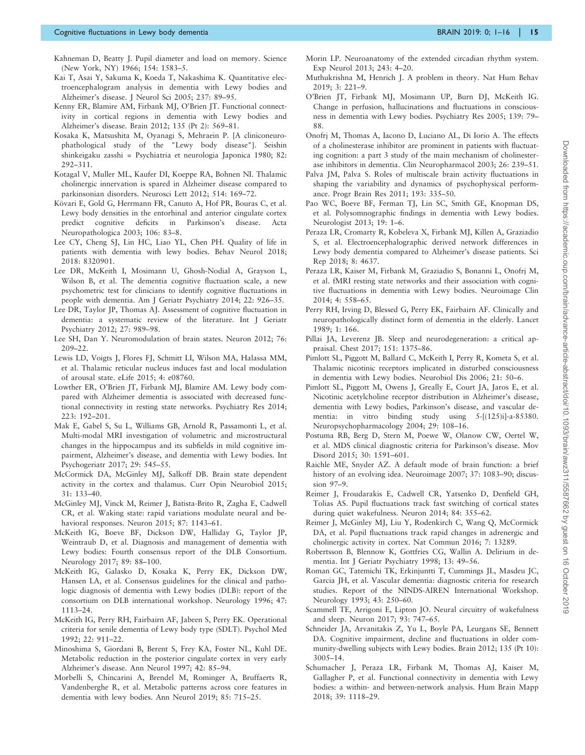- <span id="page-14-0"></span>Kahneman D, Beatty J. Pupil diameter and load on memory. Science (New York, NY) 1966; 154: 1583–5.
- Kai T, Asai Y, Sakuma K, Koeda T, Nakashima K. Quantitative electroencephalogram analysis in dementia with Lewy bodies and Alzheimer's disease. J Neurol Sci 2005; 237: 89–95.
- Kenny ER, Blamire AM, Firbank MJ, O'Brien JT. Functional connectivity in cortical regions in dementia with Lewy bodies and Alzheimer's disease. Brain 2012; 135 (Pt 2): 569–81.
- Kosaka K, Matsushita M, Oyanagi S, Mehraein P. [A cliniconeurophathological study of the "Lewy body disease"]. Seishin shinkeigaku zasshi = Psychiatria et neurologia Japonica 1980; 82: 292–311.
- Kotagal V, Muller ML, Kaufer DI, Koeppe RA, Bohnen NI. Thalamic cholinergic innervation is spared in Alzheimer disease compared to parkinsonian disorders. Neurosci Lett 2012; 514: 169–72.
- Kövari E, Gold G, Herrmann FR, Canuto A, Hof PR, Bouras C, et al. Lewy body densities in the entorhinal and anterior cingulate cortex predict cognitive deficits in Parkinson's disease. Acta Neuropathologica 2003; 106: 83–8.
- Lee CY, Cheng SJ, Lin HC, Liao YL, Chen PH. Quality of life in patients with dementia with lewy bodies. Behav Neurol 2018; 2018: 8320901.
- Lee DR, McKeith I, Mosimann U, Ghosh-Nodial A, Grayson L, Wilson B, et al. The dementia cognitive fluctuation scale, a new psychometric test for clinicians to identify cognitive fluctuations in people with dementia. Am J Geriatr Psychiatry 2014; 22: 926–35.
- Lee DR, Taylor JP, Thomas AJ. Assessment of cognitive fluctuation in dementia: a systematic review of the literature. Int J Geriatr Psychiatry 2012; 27: 989–98.
- Lee SH, Dan Y. Neuromodulation of brain states. Neuron 2012; 76: 209–22.
- Lewis LD, Voigts J, Flores FJ, Schmitt LI, Wilson MA, Halassa MM, et al. Thalamic reticular nucleus induces fast and local modulation of arousal state. eLife 2015; 4: e08760.
- Lowther ER, O'Brien JT, Firbank MJ, Blamire AM. Lewy body compared with Alzheimer dementia is associated with decreased functional connectivity in resting state networks. Psychiatry Res 2014; 223: 192–201.
- Mak E, Gabel S, Su L, Williams GB, Arnold R, Passamonti L, et al. Multi-modal MRI investigation of volumetric and microstructural changes in the hippocampus and its subfields in mild cognitive impairment, Alzheimer's disease, and dementia with Lewy bodies. Int Psychogeriatr 2017; 29: 545–55.
- McCormick DA, McGinley MJ, Salkoff DB. Brain state dependent activity in the cortex and thalamus. Curr Opin Neurobiol 2015; 31: 133–40.
- McGinley MJ, Vinck M, Reimer J, Batista-Brito R, Zagha E, Cadwell CR, et al. Waking state: rapid variations modulate neural and behavioral responses. Neuron 2015; 87: 1143–61.
- McKeith IG, Boeve BF, Dickson DW, Halliday G, Taylor JP, Weintraub D, et al. Diagnosis and management of dementia with Lewy bodies: Fourth consensus report of the DLB Consortium. Neurology 2017; 89: 88–100.
- McKeith IG, Galasko D, Kosaka K, Perry EK, Dickson DW, Hansen LA, et al. Consensus guidelines for the clinical and pathologic diagnosis of dementia with Lewy bodies (DLB): report of the consortium on DLB international workshop. Neurology 1996; 47: 1113–24.
- McKeith IG, Perry RH, Fairbairn AF, Jabeen S, Perry EK. Operational criteria for senile dementia of Lewy body type (SDLT). Psychol Med 1992; 22: 911–22.
- Minoshima S, Giordani B, Berent S, Frey KA, Foster NL, Kuhl DE. Metabolic reduction in the posterior cingulate cortex in very early Alzheimer's disease. Ann Neurol 1997; 42: 85–94.
- Morbelli S, Chincarini A, Brendel M, Rominger A, Bruffaerts R, Vandenberghe R, et al. Metabolic patterns across core features in dementia with lewy bodies. Ann Neurol 2019; 85: 715–25.
- Morin LP. Neuroanatomy of the extended circadian rhythm system. Exp Neurol 2013; 243: 4–20.
- Muthukrishna M, Henrich J. A problem in theory. Nat Hum Behav 2019; 3: 221–9.
- O'Brien JT, Firbank MJ, Mosimann UP, Burn DJ, McKeith IG. Change in perfusion, hallucinations and fluctuations in consciousness in dementia with Lewy bodies. Psychiatry Res 2005; 139: 79– 88.
- Onofrj M, Thomas A, Iacono D, Luciano AL, Di Iorio A. The effects of a cholinesterase inhibitor are prominent in patients with fluctuating cognition: a part 3 study of the main mechanism of cholinesterase inhibitors in dementia. Clin Neuropharmacol 2003; 26: 239–51.
- Palva JM, Palva S. Roles of multiscale brain activity fluctuations in shaping the variability and dynamics of psychophysical performance. Progr Brain Res 2011; 193: 335–50.
- Pao WC, Boeve BF, Ferman TJ, Lin SC, Smith GE, Knopman DS, et al. Polysomnographic findings in dementia with Lewy bodies. Neurologist 2013; 19: 1–6.
- Peraza LR, Cromarty R, Kobeleva X, Firbank MJ, Killen A, Graziadio S, et al. Electroencephalographic derived network differences in Lewy body dementia compared to Alzheimer's disease patients. Sci Rep 2018; 8: 4637.
- Peraza LR, Kaiser M, Firbank M, Graziadio S, Bonanni L, Onofrj M, et al. fMRI resting state networks and their association with cognitive fluctuations in dementia with Lewy bodies. Neuroimage Clin 2014; 4: 558–65.
- Perry RH, Irving D, Blessed G, Perry EK, Fairbairn AF. Clinically and neuropathologically distinct form of dementia in the elderly. Lancet 1989; 1: 166.
- Pillai JA, Leverenz JB. Sleep and neurodegeneration: a critical appraisal. Chest 2017; 151: 1375–86.
- Pimlott SL, Piggott M, Ballard C, McKeith I, Perry R, Kometa S, et al. Thalamic nicotinic receptors implicated in disturbed consciousness in dementia with Lewy bodies. Neurobiol Dis 2006; 21: 50–6.
- Pimlott SL, Piggott M, Owens J, Greally E, Court JA, Jaros E, et al. Nicotinic acetylcholine receptor distribution in Alzheimer's disease, dementia with Lewy bodies, Parkinson's disease, and vascular dementia: in vitro binding study using 5-[(125)i]-a-85380. Neuropsychopharmacology 2004; 29: 108–16.
- Postuma RB, Berg D, Stern M, Poewe W, Olanow CW, Oertel W, et al. MDS clinical diagnostic criteria for Parkinson's disease. Mov Disord 2015; 30: 1591–601.
- Raichle ME, Snyder AZ. A default mode of brain function: a brief history of an evolving idea. Neuroimage 2007; 37: 1083–90; discussion 97–9.
- Reimer J, Froudarakis E, Cadwell CR, Yatsenko D, Denfield GH, Tolias AS. Pupil fluctuations track fast switching of cortical states during quiet wakefulness. Neuron 2014; 84: 355–62.
- Reimer J, McGinley MJ, Liu Y, Rodenkirch C, Wang Q, McCormick DA, et al. Pupil fluctuations track rapid changes in adrenergic and cholinergic activity in cortex. Nat Commun 2016; 7: 13289.
- Robertsson B, Blennow K, Gottfries CG, Wallin A. Delirium in dementia. Int J Geriatr Psychiatry 1998; 13: 49–56.
- Roman GC, Tatemichi TK, Erkinjuntti T, Cummings JL, Masdeu JC, Garcia JH, et al. Vascular dementia: diagnostic criteria for research studies. Report of the NINDS-AIREN International Workshop. Neurology 1993; 43: 250–60.
- Scammell TE, Arrigoni E, Lipton JO. Neural circuitry of wakefulness and sleep. Neuron 2017; 93: 747–65.
- Schneider JA, Arvanitakis Z, Yu L, Boyle PA, Leurgans SE, Bennett DA. Cognitive impairment, decline and fluctuations in older community-dwelling subjects with Lewy bodies. Brain 2012; 135 (Pt 10): 3005–14.
- Schumacher J, Peraza LR, Firbank M, Thomas AJ, Kaiser M, Gallagher P, et al. Functional connectivity in dementia with Lewy bodies: a within- and between-network analysis. Hum Brain Mapp 2018; 39: 1118–29.